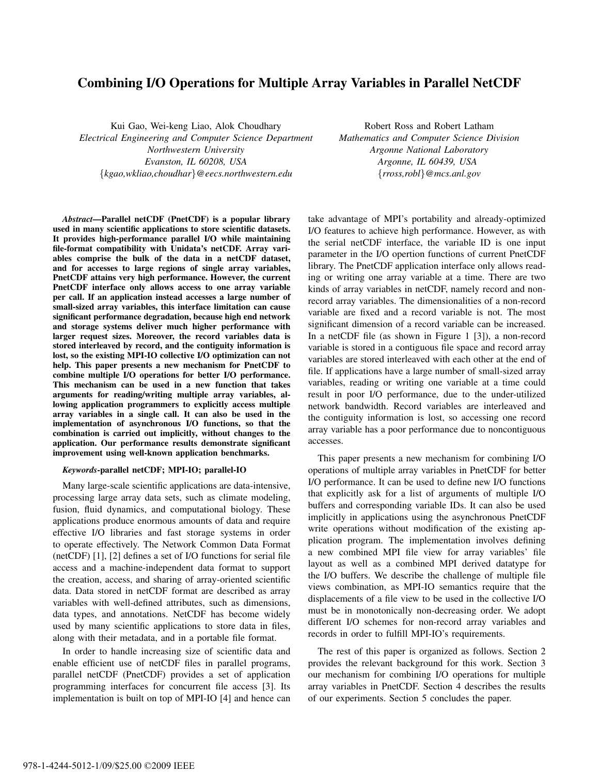# Combining I/O Operations for Multiple Array Variables in Parallel NetCDF

Kui Gao, Wei-keng Liao, Alok Choudhary *Electrical Engineering and Computer Science Department Northwestern University Evanston, IL 60208, USA* {*kgao,wkliao,choudhar*}*@eecs.northwestern.edu*

Robert Ross and Robert Latham *Mathematics and Computer Science Division Argonne National Laboratory Argonne, IL 60439, USA* {*rross,robl*}*@mcs.anl.gov*

*Abstract*—Parallel netCDF (PnetCDF) is a popular library used in many scientific applications to store scientific datasets. It provides high-performance parallel I/O while maintaining file-format compatibility with Unidata's netCDF. Array variables comprise the bulk of the data in a netCDF dataset, and for accesses to large regions of single array variables, PnetCDF attains very high performance. However, the current PnetCDF interface only allows access to one array variable per call. If an application instead accesses a large number of small-sized array variables, this interface limitation can cause significant performance degradation, because high end network and storage systems deliver much higher performance with larger request sizes. Moreover, the record variables data is stored interleaved by record, and the contiguity information is lost, so the existing MPI-IO collective I/O optimization can not help. This paper presents a new mechanism for PnetCDF to combine multiple I/O operations for better I/O performance. This mechanism can be used in a new function that takes arguments for reading/writing multiple array variables, allowing application programmers to explicitly access multiple array variables in a single call. It can also be used in the implementation of asynchronous I/O functions, so that the combination is carried out implicitly, without changes to the application. Our performance results demonstrate significant improvement using well-known application benchmarks.

## *Keywords*-parallel netCDF; MPI-IO; parallel-IO

Many large-scale scientific applications are data-intensive, processing large array data sets, such as climate modeling, fusion, fluid dynamics, and computational biology. These applications produce enormous amounts of data and require effective I/O libraries and fast storage systems in order to operate effectively. The Network Common Data Format (netCDF) [1], [2] defines a set of I/O functions for serial file access and a machine-independent data format to support the creation, access, and sharing of array-oriented scientific data. Data stored in netCDF format are described as array variables with well-defined attributes, such as dimensions, data types, and annotations. NetCDF has become widely used by many scientific applications to store data in files, along with their metadata, and in a portable file format.

In order to handle increasing size of scientific data and enable efficient use of netCDF files in parallel programs, parallel netCDF (PnetCDF) provides a set of application programming interfaces for concurrent file access [3]. Its implementation is built on top of MPI-IO [4] and hence can take advantage of MPI's portability and already-optimized I/O features to achieve high performance. However, as with the serial netCDF interface, the variable ID is one input parameter in the I/O opertion functions of current PnetCDF library. The PnetCDF application interface only allows reading or writing one array variable at a time. There are two kinds of array variables in netCDF, namely record and nonrecord array variables. The dimensionalities of a non-record variable are fixed and a record variable is not. The most significant dimension of a record variable can be increased. In a netCDF file (as shown in Figure 1 [3]), a non-record variable is stored in a contiguous file space and record array variables are stored interleaved with each other at the end of file. If applications have a large number of small-sized array variables, reading or writing one variable at a time could result in poor I/O performance, due to the under-utilized network bandwidth. Record variables are interleaved and the contiguity information is lost, so accessing one record array variable has a poor performance due to noncontiguous accesses.

This paper presents a new mechanism for combining I/O operations of multiple array variables in PnetCDF for better I/O performance. It can be used to define new I/O functions that explicitly ask for a list of arguments of multiple I/O buffers and corresponding variable IDs. It can also be used implicitly in applications using the asynchronous PnetCDF write operations without modification of the existing application program. The implementation involves defining a new combined MPI file view for array variables' file layout as well as a combined MPI derived datatype for the I/O buffers. We describe the challenge of multiple file views combination, as MPI-IO semantics require that the displacements of a file view to be used in the collective I/O must be in monotonically non-decreasing order. We adopt different I/O schemes for non-record array variables and records in order to fulfill MPI-IO's requirements.

The rest of this paper is organized as follows. Section 2 provides the relevant background for this work. Section 3 our mechanism for combining I/O operations for multiple array variables in PnetCDF. Section 4 describes the results of our experiments. Section 5 concludes the paper.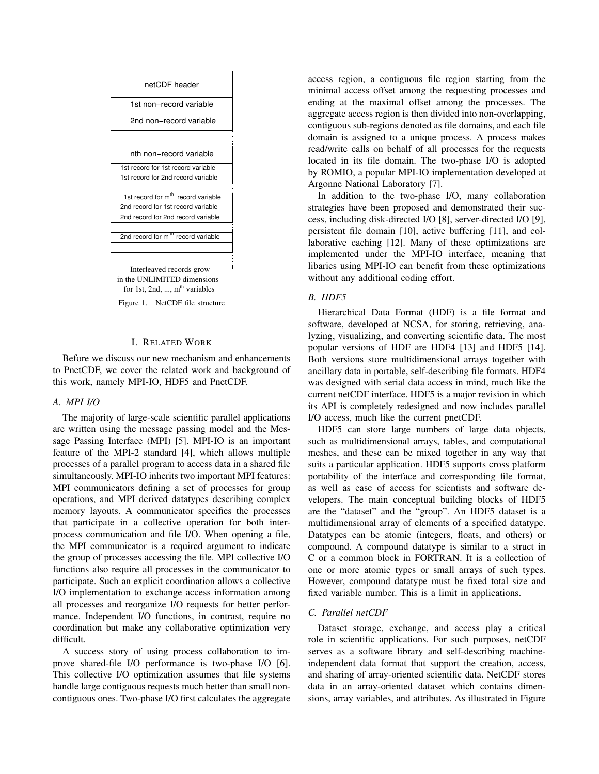

Figure 1. NetCDF file structure

#### I. RELATED WORK

Before we discuss our new mechanism and enhancements to PnetCDF, we cover the related work and background of this work, namely MPI-IO, HDF5 and PnetCDF.

## *A. MPI I/O*

The majority of large-scale scientific parallel applications are written using the message passing model and the Message Passing Interface (MPI) [5]. MPI-IO is an important feature of the MPI-2 standard [4], which allows multiple processes of a parallel program to access data in a shared file simultaneously. MPI-IO inherits two important MPI features: MPI communicators defining a set of processes for group operations, and MPI derived datatypes describing complex memory layouts. A communicator specifies the processes that participate in a collective operation for both interprocess communication and file I/O. When opening a file, the MPI communicator is a required argument to indicate the group of processes accessing the file. MPI collective I/O functions also require all processes in the communicator to participate. Such an explicit coordination allows a collective I/O implementation to exchange access information among all processes and reorganize I/O requests for better performance. Independent I/O functions, in contrast, require no coordination but make any collaborative optimization very difficult.

A success story of using process collaboration to improve shared-file I/O performance is two-phase I/O [6]. This collective I/O optimization assumes that file systems handle large contiguous requests much better than small noncontiguous ones. Two-phase I/O first calculates the aggregate access region, a contiguous file region starting from the minimal access offset among the requesting processes and ending at the maximal offset among the processes. The aggregate access region is then divided into non-overlapping, contiguous sub-regions denoted as file domains, and each file domain is assigned to a unique process. A process makes read/write calls on behalf of all processes for the requests located in its file domain. The two-phase I/O is adopted by ROMIO, a popular MPI-IO implementation developed at Argonne National Laboratory [7].

In addition to the two-phase I/O, many collaboration strategies have been proposed and demonstrated their success, including disk-directed I/O [8], server-directed I/O [9], persistent file domain [10], active buffering [11], and collaborative caching [12]. Many of these optimizations are implemented under the MPI-IO interface, meaning that libaries using MPI-IO can benefit from these optimizations without any additional coding effort.

# *B. HDF5*

Hierarchical Data Format (HDF) is a file format and software, developed at NCSA, for storing, retrieving, analyzing, visualizing, and converting scientific data. The most popular versions of HDF are HDF4 [13] and HDF5 [14]. Both versions store multidimensional arrays together with ancillary data in portable, self-describing file formats. HDF4 was designed with serial data access in mind, much like the current netCDF interface. HDF5 is a major revision in which its API is completely redesigned and now includes parallel I/O access, much like the current pnetCDF.

HDF5 can store large numbers of large data objects, such as multidimensional arrays, tables, and computational meshes, and these can be mixed together in any way that suits a particular application. HDF5 supports cross platform portability of the interface and corresponding file format, as well as ease of access for scientists and software developers. The main conceptual building blocks of HDF5 are the "dataset" and the "group". An HDF5 dataset is a multidimensional array of elements of a specified datatype. Datatypes can be atomic (integers, floats, and others) or compound. A compound datatype is similar to a struct in C or a common block in FORTRAN. It is a collection of one or more atomic types or small arrays of such types. However, compound datatype must be fixed total size and fixed variable number. This is a limit in applications.

## *C. Parallel netCDF*

Dataset storage, exchange, and access play a critical role in scientific applications. For such purposes, netCDF serves as a software library and self-describing machineindependent data format that support the creation, access, and sharing of array-oriented scientific data. NetCDF stores data in an array-oriented dataset which contains dimensions, array variables, and attributes. As illustrated in Figure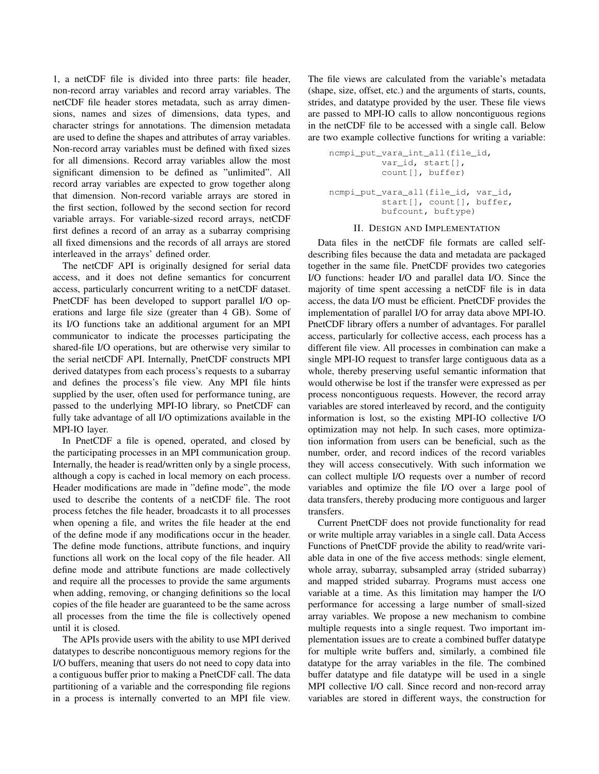1, a netCDF file is divided into three parts: file header, non-record array variables and record array variables. The netCDF file header stores metadata, such as array dimensions, names and sizes of dimensions, data types, and character strings for annotations. The dimension metadata are used to define the shapes and attributes of array variables. Non-record array variables must be defined with fixed sizes for all dimensions. Record array variables allow the most significant dimension to be defined as "unlimited". All record array variables are expected to grow together along that dimension. Non-record variable arrays are stored in the first section, followed by the second section for record variable arrays. For variable-sized record arrays, netCDF first defines a record of an array as a subarray comprising all fixed dimensions and the records of all arrays are stored interleaved in the arrays' defined order.

The netCDF API is originally designed for serial data access, and it does not define semantics for concurrent access, particularly concurrent writing to a netCDF dataset. PnetCDF has been developed to support parallel I/O operations and large file size (greater than 4 GB). Some of its I/O functions take an additional argument for an MPI communicator to indicate the processes participating the shared-file I/O operations, but are otherwise very similar to the serial netCDF API. Internally, PnetCDF constructs MPI derived datatypes from each process's requests to a subarray and defines the process's file view. Any MPI file hints supplied by the user, often used for performance tuning, are passed to the underlying MPI-IO library, so PnetCDF can fully take advantage of all I/O optimizations available in the MPI-IO layer.

In PnetCDF a file is opened, operated, and closed by the participating processes in an MPI communication group. Internally, the header is read/written only by a single process, although a copy is cached in local memory on each process. Header modifications are made in "define mode", the mode used to describe the contents of a netCDF file. The root process fetches the file header, broadcasts it to all processes when opening a file, and writes the file header at the end of the define mode if any modifications occur in the header. The define mode functions, attribute functions, and inquiry functions all work on the local copy of the file header. All define mode and attribute functions are made collectively and require all the processes to provide the same arguments when adding, removing, or changing definitions so the local copies of the file header are guaranteed to be the same across all processes from the time the file is collectively opened until it is closed.

The APIs provide users with the ability to use MPI derived datatypes to describe noncontiguous memory regions for the I/O buffers, meaning that users do not need to copy data into a contiguous buffer prior to making a PnetCDF call. The data partitioning of a variable and the corresponding file regions in a process is internally converted to an MPI file view. The file views are calculated from the variable's metadata (shape, size, offset, etc.) and the arguments of starts, counts, strides, and datatype provided by the user. These file views are passed to MPI-IO calls to allow noncontiguous regions in the netCDF file to be accessed with a single call. Below are two example collective functions for writing a variable:

```
ncmpi put vara int all(file id,
          var_id, start[],
          count[], buffer)
ncmpi_put_vara_all(file_id, var_id,
          start[], count[], buffer,
          bufcount, buftype)
```
#### II. DESIGN AND IMPLEMENTATION

Data files in the netCDF file formats are called selfdescribing files because the data and metadata are packaged together in the same file. PnetCDF provides two categories I/O functions: header I/O and parallel data I/O. Since the majority of time spent accessing a netCDF file is in data access, the data I/O must be efficient. PnetCDF provides the implementation of parallel I/O for array data above MPI-IO. PnetCDF library offers a number of advantages. For parallel access, particularly for collective access, each process has a different file view. All processes in combination can make a single MPI-IO request to transfer large contiguous data as a whole, thereby preserving useful semantic information that would otherwise be lost if the transfer were expressed as per process noncontiguous requests. However, the record array variables are stored interleaved by record, and the contiguity information is lost, so the existing MPI-IO collective I/O optimization may not help. In such cases, more optimization information from users can be beneficial, such as the number, order, and record indices of the record variables they will access consecutively. With such information we can collect multiple I/O requests over a number of record variables and optimize the file I/O over a large pool of data transfers, thereby producing more contiguous and larger transfers.

Current PnetCDF does not provide functionality for read or write multiple array variables in a single call. Data Access Functions of PnetCDF provide the ability to read/write variable data in one of the five access methods: single element, whole array, subarray, subsampled array (strided subarray) and mapped strided subarray. Programs must access one variable at a time. As this limitation may hamper the I/O performance for accessing a large number of small-sized array variables. We propose a new mechanism to combine multiple requests into a single request. Two important implementation issues are to create a combined buffer datatype for multiple write buffers and, similarly, a combined file datatype for the array variables in the file. The combined buffer datatype and file datatype will be used in a single MPI collective I/O call. Since record and non-record array variables are stored in different ways, the construction for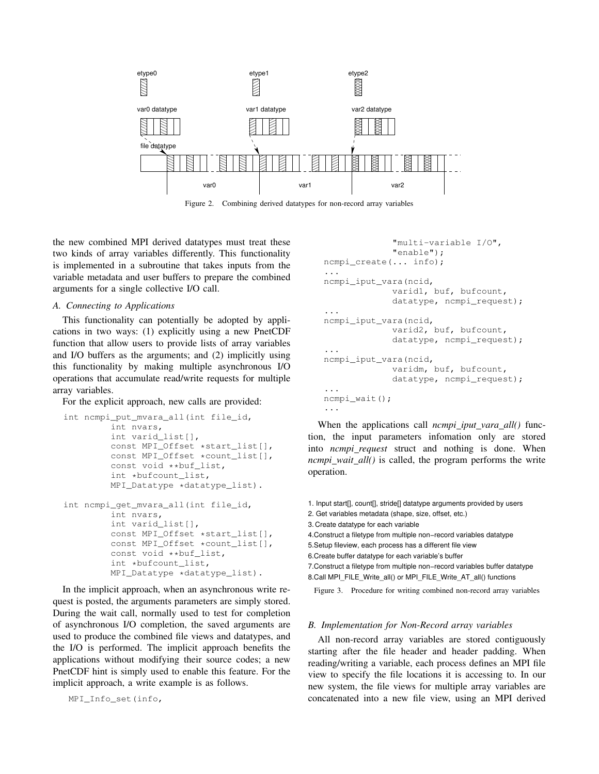

Figure 2. Combining derived datatypes for non-record array variables

the new combined MPI derived datatypes must treat these two kinds of array variables differently. This functionality is implemented in a subroutine that takes inputs from the variable metadata and user buffers to prepare the combined arguments for a single collective I/O call.

# *A. Connecting to Applications*

This functionality can potentially be adopted by applications in two ways: (1) explicitly using a new PnetCDF function that allow users to provide lists of array variables and I/O buffers as the arguments; and (2) implicitly using this functionality by making multiple asynchronous I/O operations that accumulate read/write requests for multiple array variables.

For the explicit approach, new calls are provided:

```
int ncmpi_put_mvara_all(int file_id,
         int nvars,
        int varid_list[],
        const MPI_Offset *start_list[],
        const MPI_Offset *count_list[],
        const void **buf_list,
        int *bufcount_list,
        MPI_Datatype *datatype_list).
int ncmpi_get_mvara_all(int file_id,
        int nvars,
        int varid_list[],
        const MPI_Offset *start_list[],
        const MPI_Offset *count_list[],
        const void **buf_list,
         int *bufcount_list,
        MPI_Datatype *datatype_list).
```
In the implicit approach, when an asynchronous write request is posted, the arguments parameters are simply stored. During the wait call, normally used to test for completion of asynchronous I/O completion, the saved arguments are used to produce the combined file views and datatypes, and the I/O is performed. The implicit approach benefits the applications without modifying their source codes; a new PnetCDF hint is simply used to enable this feature. For the implicit approach, a write example is as follows.

```
MPI_Info_set(info,
```

```
"multi-variable I/O",
              "enable");
ncmpi_create(... info);
...
ncmpi_iput_vara(ncid,
             varid1, buf, bufcount,
             datatype, ncmpi_request);
...
ncmpi_iput_vara(ncid,
             varid2, buf, bufcount,
             datatype, ncmpi_request);
...
ncmpi_iput_vara(ncid,
             varidm, buf, bufcount,
             datatype, ncmpi_request);
...
ncmpi_wait();
...
```
When the applications call *ncmpi\_iput\_vara\_all()* function, the input parameters infomation only are stored into *ncmpi request* struct and nothing is done. When *ncmpi\_wait\_all()* is called, the program performs the write operation.

1. Input start[], count[], stride[] datatype arguments provided by users

2. Get variables metadata (shape, size, offset, etc.)

3. Create datatype for each variable

4.Construct a filetype from multiple non−record variables datatype

5.Setup fileview, each process has a different file view

6.Create buffer datatype for each variable's buffer

7.Construct a filetype from multiple non−record variables buffer datatype

```
8.Call MPI_FILE_Write_all() or MPI_FILE_Write_AT_all() functions
```
Figure 3. Procedure for writing combined non-record array variables

## *B. Implementation for Non-Record array variables*

All non-record array variables are stored contiguously starting after the file header and header padding. When reading/writing a variable, each process defines an MPI file view to specify the file locations it is accessing to. In our new system, the file views for multiple array variables are concatenated into a new file view, using an MPI derived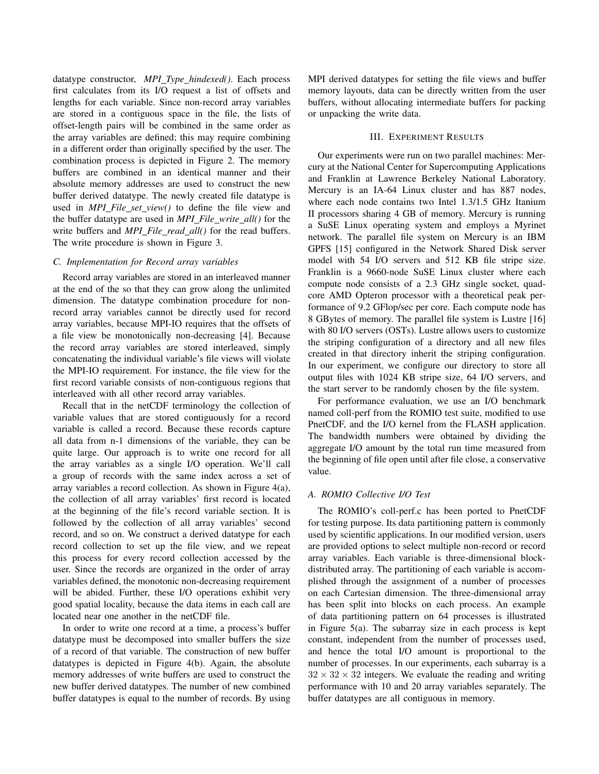datatype constructor, *MPI Type hindexed()*. Each process first calculates from its I/O request a list of offsets and lengths for each variable. Since non-record array variables are stored in a contiguous space in the file, the lists of offset-length pairs will be combined in the same order as the array variables are defined; this may require combining in a different order than originally specified by the user. The combination process is depicted in Figure 2. The memory buffers are combined in an identical manner and their absolute memory addresses are used to construct the new buffer derived datatype. The newly created file datatype is used in *MPI\_File\_set\_view()* to define the file view and the buffer datatype are used in *MPI File write all()* for the write buffers and *MPI\_File\_read\_all()* for the read buffers. The write procedure is shown in Figure 3.

## *C. Implementation for Record array variables*

Record array variables are stored in an interleaved manner at the end of the so that they can grow along the unlimited dimension. The datatype combination procedure for nonrecord array variables cannot be directly used for record array variables, because MPI-IO requires that the offsets of a file view be monotonically non-decreasing [4]. Because the record array variables are stored interleaved, simply concatenating the individual variable's file views will violate the MPI-IO requirement. For instance, the file view for the first record variable consists of non-contiguous regions that interleaved with all other record array variables.

Recall that in the netCDF terminology the collection of variable values that are stored contiguously for a record variable is called a record. Because these records capture all data from n-1 dimensions of the variable, they can be quite large. Our approach is to write one record for all the array variables as a single I/O operation. We'll call a group of records with the same index across a set of array variables a record collection. As shown in Figure 4(a), the collection of all array variables' first record is located at the beginning of the file's record variable section. It is followed by the collection of all array variables' second record, and so on. We construct a derived datatype for each record collection to set up the file view, and we repeat this process for every record collection accessed by the user. Since the records are organized in the order of array variables defined, the monotonic non-decreasing requirement will be abided. Further, these I/O operations exhibit very good spatial locality, because the data items in each call are located near one another in the netCDF file.

In order to write one record at a time, a process's buffer datatype must be decomposed into smaller buffers the size of a record of that variable. The construction of new buffer datatypes is depicted in Figure 4(b). Again, the absolute memory addresses of write buffers are used to construct the new buffer derived datatypes. The number of new combined buffer datatypes is equal to the number of records. By using MPI derived datatypes for setting the file views and buffer memory layouts, data can be directly written from the user buffers, without allocating intermediate buffers for packing or unpacking the write data.

## III. EXPERIMENT RESULTS

Our experiments were run on two parallel machines: Mercury at the National Center for Supercomputing Applications and Franklin at Lawrence Berkeley National Laboratory. Mercury is an IA-64 Linux cluster and has 887 nodes, where each node contains two Intel 1.3/1.5 GHz Itanium II processors sharing 4 GB of memory. Mercury is running a SuSE Linux operating system and employs a Myrinet network. The parallel file system on Mercury is an IBM GPFS [15] configured in the Network Shared Disk server model with 54 I/O servers and 512 KB file stripe size. Franklin is a 9660-node SuSE Linux cluster where each compute node consists of a 2.3 GHz single socket, quadcore AMD Opteron processor with a theoretical peak performance of 9.2 GFlop/sec per core. Each compute node has 8 GBytes of memory. The parallel file system is Lustre [16] with 80 I/O servers (OSTs). Lustre allows users to customize the striping configuration of a directory and all new files created in that directory inherit the striping configuration. In our experiment, we configure our directory to store all output files with 1024 KB stripe size, 64 I/O servers, and the start server to be randomly chosen by the file system.

For performance evaluation, we use an I/O benchmark named coll-perf from the ROMIO test suite, modified to use PnetCDF, and the I/O kernel from the FLASH application. The bandwidth numbers were obtained by dividing the aggregate I/O amount by the total run time measured from the beginning of file open until after file close, a conservative value.

## *A. ROMIO Collective I/O Test*

The ROMIO's coll-perf.c has been ported to PnetCDF for testing purpose. Its data partitioning pattern is commonly used by scientific applications. In our modified version, users are provided options to select multiple non-record or record array variables. Each variable is three-dimensional blockdistributed array. The partitioning of each variable is accomplished through the assignment of a number of processes on each Cartesian dimension. The three-dimensional array has been split into blocks on each process. An example of data partitioning pattern on 64 processes is illustrated in Figure 5(a). The subarray size in each process is kept constant, independent from the number of processes used, and hence the total I/O amount is proportional to the number of processes. In our experiments, each subarray is a  $32 \times 32 \times 32$  integers. We evaluate the reading and writing performance with 10 and 20 array variables separately. The buffer datatypes are all contiguous in memory.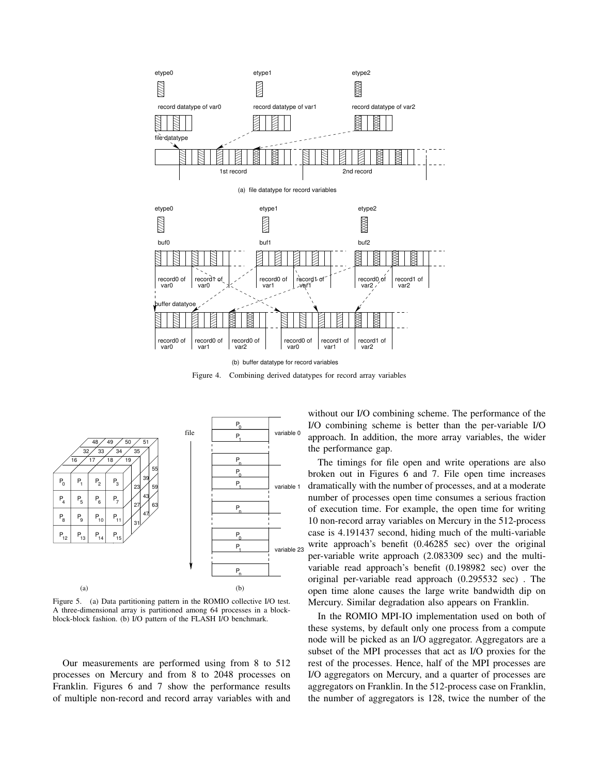

Figure 4. Combining derived datatypes for record array variables



Figure 5. (a) Data partitioning pattern in the ROMIO collective I/O test. A three-dimensional array is partitioned among 64 processes in a blockblock-block fashion. (b) I/O pattern of the FLASH I/O benchmark.

Our measurements are performed using from 8 to 512 processes on Mercury and from 8 to 2048 processes on Franklin. Figures 6 and 7 show the performance results of multiple non-record and record array variables with and without our I/O combining scheme. The performance of the I/O combining scheme is better than the per-variable I/O approach. In addition, the more array variables, the wider the performance gap.

The timings for file open and write operations are also broken out in Figures 6 and 7. File open time increases dramatically with the number of processes, and at a moderate number of processes open time consumes a serious fraction of execution time. For example, the open time for writing 10 non-record array variables on Mercury in the 512-process case is 4.191437 second, hiding much of the multi-variable write approach's benefit (0.46285 sec) over the original per-variable write approach (2.083309 sec) and the multivariable read approach's benefit (0.198982 sec) over the original per-variable read approach (0.295532 sec) . The open time alone causes the large write bandwidth dip on Mercury. Similar degradation also appears on Franklin.

In the ROMIO MPI-IO implementation used on both of these systems, by default only one process from a compute node will be picked as an I/O aggregator. Aggregators are a subset of the MPI processes that act as I/O proxies for the rest of the processes. Hence, half of the MPI processes are I/O aggregators on Mercury, and a quarter of processes are aggregators on Franklin. In the 512-process case on Franklin, the number of aggregators is 128, twice the number of the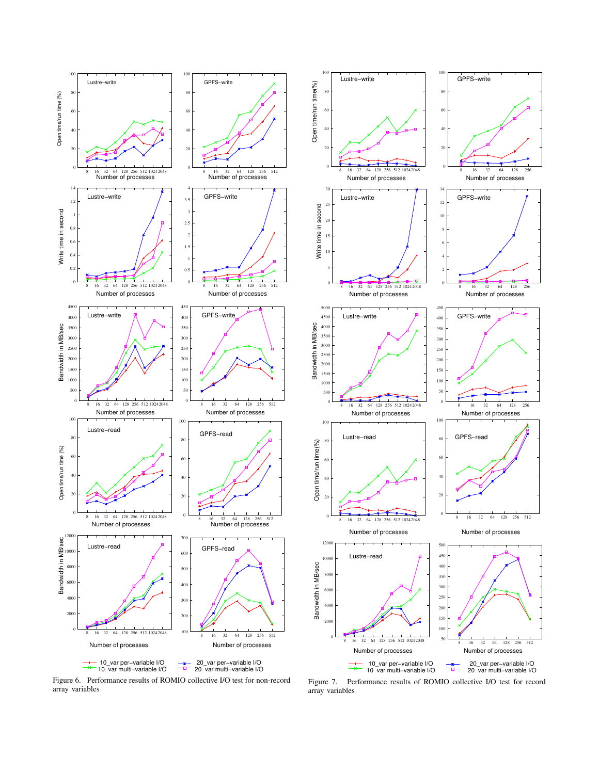



Write time in second

Open time/run time(%)

Open time/run time(%)

Bandwidth in MB/sec

Bandwidth in MB/sec

Bandwidth in MB/sec

Bandwidth in MB/sec

Open time/run time(%)

Open time/run time(%)

Figure 6. Performance results of ROMIO collective I/O test for non-record array variables

Figure 7. Performance results of ROMIO collective I/O test for record array variables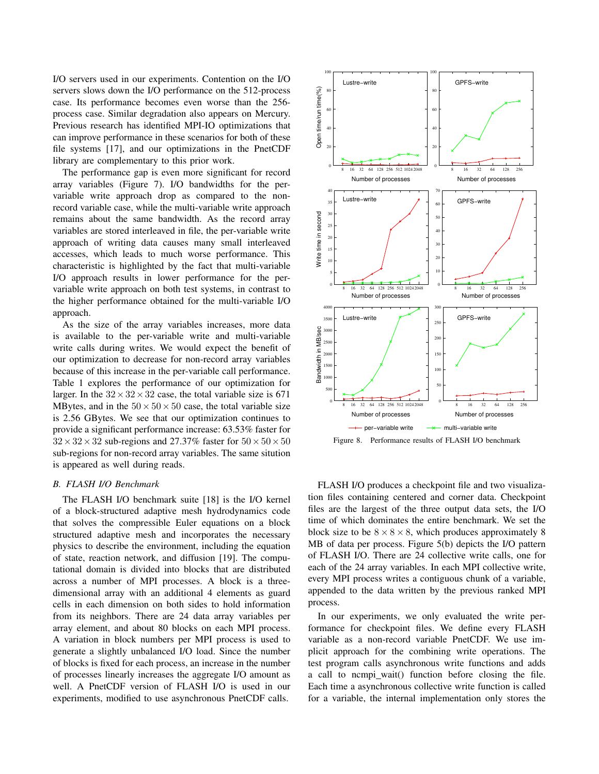I/O servers used in our experiments. Contention on the I/O servers slows down the I/O performance on the 512-process case. Its performance becomes even worse than the 256 process case. Similar degradation also appears on Mercury. Previous research has identified MPI-IO optimizations that can improve performance in these scenarios for both of these file systems [17], and our optimizations in the PnetCDF library are complementary to this prior work.

The performance gap is even more significant for record array variables (Figure 7). I/O bandwidths for the pervariable write approach drop as compared to the nonrecord variable case, while the multi-variable write approach remains about the same bandwidth. As the record array variables are stored interleaved in file, the per-variable write approach of writing data causes many small interleaved accesses, which leads to much worse performance. This characteristic is highlighted by the fact that multi-variable I/O approach results in lower performance for the pervariable write approach on both test systems, in contrast to the higher performance obtained for the multi-variable I/O approach.

As the size of the array variables increases, more data is available to the per-variable write and multi-variable write calls during writes. We would expect the benefit of our optimization to decrease for non-record array variables because of this increase in the per-variable call performance. Table 1 explores the performance of our optimization for larger. In the  $32 \times 32 \times 32$  case, the total variable size is 671 MBytes, and in the  $50 \times 50 \times 50$  case, the total variable size is 2.56 GBytes. We see that our optimization continues to provide a significant performance increase: 63.53% faster for  $32 \times 32 \times 32$  sub-regions and 27.37% faster for  $50 \times 50 \times 50$ sub-regions for non-record array variables. The same sitution is appeared as well during reads.

## *B. FLASH I/O Benchmark*

The FLASH I/O benchmark suite [18] is the I/O kernel of a block-structured adaptive mesh hydrodynamics code that solves the compressible Euler equations on a block structured adaptive mesh and incorporates the necessary physics to describe the environment, including the equation of state, reaction network, and diffusion [19]. The computational domain is divided into blocks that are distributed across a number of MPI processes. A block is a threedimensional array with an additional 4 elements as guard cells in each dimension on both sides to hold information from its neighbors. There are 24 data array variables per array element, and about 80 blocks on each MPI process. A variation in block numbers per MPI process is used to generate a slightly unbalanced I/O load. Since the number of blocks is fixed for each process, an increase in the number of processes linearly increases the aggregate I/O amount as well. A PnetCDF version of FLASH I/O is used in our experiments, modified to use asynchronous PnetCDF calls.



FLASH I/O produces a checkpoint file and two visualization files containing centered and corner data. Checkpoint files are the largest of the three output data sets, the I/O time of which dominates the entire benchmark. We set the block size to be  $8 \times 8 \times 8$ , which produces approximately 8 MB of data per process. Figure 5(b) depicts the I/O pattern of FLASH I/O. There are 24 collective write calls, one for each of the 24 array variables. In each MPI collective write, every MPI process writes a contiguous chunk of a variable, appended to the data written by the previous ranked MPI process.

In our experiments, we only evaluated the write performance for checkpoint files. We define every FLASH variable as a non-record variable PnetCDF. We use implicit approach for the combining write operations. The test program calls asynchronous write functions and adds a call to ncmpi wait() function before closing the file. Each time a asynchronous collective write function is called for a variable, the internal implementation only stores the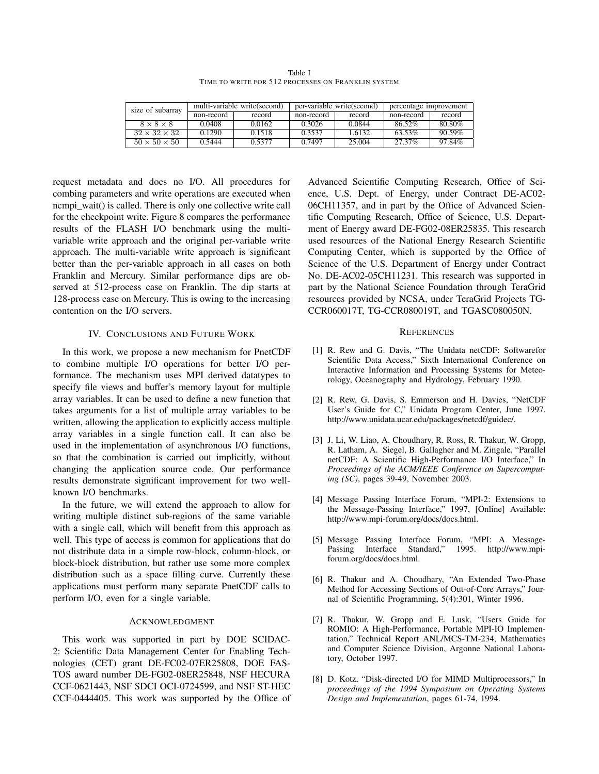Table I TIME TO WRITE FOR 512 PROCESSES ON FRANKLIN SYSTEM

| size of subarray         | multi-variable write (second) |            | per-variable write (second) |            | percentage improvement |            |        |
|--------------------------|-------------------------------|------------|-----------------------------|------------|------------------------|------------|--------|
|                          |                               | non-record | record                      | non-record | record                 | non-record | record |
| $8 \times 8 \times 8$    |                               | 0.0408     | 0.0162                      | 0.3026     | 0.0844                 | 86.52%     | 80.80% |
| $32 \times 32 \times 32$ |                               | 0.1290     | 0.1518                      | 0.3537     | 1.6132                 | 63.53%     | 90.59% |
| $50 \times 50 \times 50$ |                               | 0.5444     | 0.5377                      | 0.7497     | 25.004                 | 27.37%     | 97.84% |

request metadata and does no I/O. All procedures for combing parameters and write operations are executed when ncmpi\_wait() is called. There is only one collective write call for the checkpoint write. Figure 8 compares the performance results of the FLASH I/O benchmark using the multivariable write approach and the original per-variable write approach. The multi-variable write approach is significant better than the per-variable approach in all cases on both Franklin and Mercury. Similar performance dips are observed at 512-process case on Franklin. The dip starts at 128-process case on Mercury. This is owing to the increasing contention on the I/O servers.

# IV. CONCLUSIONS AND FUTURE WORK

In this work, we propose a new mechanism for PnetCDF to combine multiple I/O operations for better I/O performance. The mechanism uses MPI derived datatypes to specify file views and buffer's memory layout for multiple array variables. It can be used to define a new function that takes arguments for a list of multiple array variables to be written, allowing the application to explicitly access multiple array variables in a single function call. It can also be used in the implementation of asynchronous I/O functions, so that the combination is carried out implicitly, without changing the application source code. Our performance results demonstrate significant improvement for two wellknown I/O benchmarks.

In the future, we will extend the approach to allow for writing multiple distinct sub-regions of the same variable with a single call, which will benefit from this approach as well. This type of access is common for applications that do not distribute data in a simple row-block, column-block, or block-block distribution, but rather use some more complex distribution such as a space filling curve. Currently these applications must perform many separate PnetCDF calls to perform I/O, even for a single variable.

#### ACKNOWLEDGMENT

This work was supported in part by DOE SCIDAC-2: Scientific Data Management Center for Enabling Technologies (CET) grant DE-FC02-07ER25808, DOE FAS-TOS award number DE-FG02-08ER25848, NSF HECURA CCF-0621443, NSF SDCI OCI-0724599, and NSF ST-HEC CCF-0444405. This work was supported by the Office of Advanced Scientific Computing Research, Office of Science, U.S. Dept. of Energy, under Contract DE-AC02- 06CH11357, and in part by the Office of Advanced Scientific Computing Research, Office of Science, U.S. Department of Energy award DE-FG02-08ER25835. This research used resources of the National Energy Research Scientific Computing Center, which is supported by the Office of Science of the U.S. Department of Energy under Contract No. DE-AC02-05CH11231. This research was supported in part by the National Science Foundation through TeraGrid resources provided by NCSA, under TeraGrid Projects TG-CCR060017T, TG-CCR080019T, and TGASC080050N.

#### **REFERENCES**

- [1] R. Rew and G. Davis, "The Unidata netCDF: Softwarefor Scientific Data Access," Sixth International Conference on Interactive Information and Processing Systems for Meteorology, Oceanography and Hydrology, February 1990.
- [2] R. Rew, G. Davis, S. Emmerson and H. Davies, "NetCDF User's Guide for C," Unidata Program Center, June 1997. http://www.unidata.ucar.edu/packages/netcdf/guidec/.
- [3] J. Li, W. Liao, A. Choudhary, R. Ross, R. Thakur, W. Gropp, R. Latham, A. Siegel, B. Gallagher and M. Zingale, "Parallel netCDF: A Scientific High-Performance I/O Interface," In *Proceedings of the ACM/IEEE Conference on Supercomputing (SC)*, pages 39-49, November 2003.
- [4] Message Passing Interface Forum, "MPI-2: Extensions to the Message-Passing Interface," 1997, [Online] Available: http://www.mpi-forum.org/docs/docs.html.
- [5] Message Passing Interface Forum, "MPI: A Message-Passing Interface Standard," 1995. http://www.mpiforum.org/docs/docs.html.
- [6] R. Thakur and A. Choudhary, "An Extended Two-Phase Method for Accessing Sections of Out-of-Core Arrays," Journal of Scientific Programming, 5(4):301, Winter 1996.
- [7] R. Thakur, W. Gropp and E. Lusk, "Users Guide for ROMIO: A High-Performance, Portable MPI-IO Implementation," Technical Report ANL/MCS-TM-234, Mathematics and Computer Science Division, Argonne National Laboratory, October 1997.
- [8] D. Kotz, "Disk-directed I/O for MIMD Multiprocessors," In *proceedings of the 1994 Symposium on Operating Systems Design and Implementation*, pages 61-74, 1994.